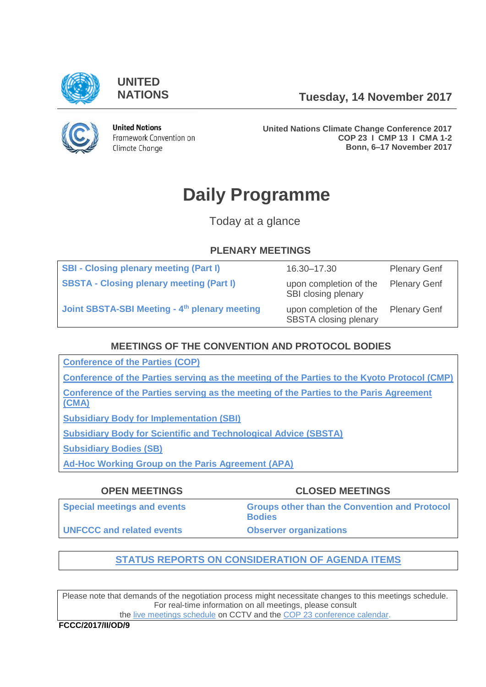

**UNITED**

**NATIONS Tuesday, 14 November 2017**



**United Nations** Framework Convention on Climate Change

**United Nations Climate Change Conference 2017 COP 23 I CMP 13 I CMA 1-2 Bonn, 6–17 November 2017**

# **Daily Programme**

Today at a glance

# **PLENARY MEETINGS**

| <b>SBI - Closing plenary meeting (Part I)</b>             | 16.30-17.30                                            | <b>Plenary Genf</b> |
|-----------------------------------------------------------|--------------------------------------------------------|---------------------|
| <b>SBSTA - Closing plenary meeting (Part I)</b>           | upon completion of the<br>SBI closing plenary          | <b>Plenary Genf</b> |
| Joint SBSTA-SBI Meeting - 4 <sup>th</sup> plenary meeting | upon completion of the<br><b>SBSTA</b> closing plenary | <b>Plenary Genf</b> |

# **MEETINGS OF THE CONVENTION AND PROTOCOL BODIES**

**[Conference of the Parties \(COP\)](https://grandreserva.unfccc.int/grandreserva/public/schedule?time=2017%2F11%2F14&conference_id=70&meeting_type=&body=4&webcast=0)**

**[Conference of the Parties serving as the meeting of the Parties to the Kyoto Protocol \(CMP\)](https://grandreserva.unfccc.int/grandreserva/public/schedule?time=2017%2F11%2F14&conference_id=70&meeting_type=&body=3&webcast=0)**

**[Conference of the Parties serving as the meeting of the Parties to the Paris Agreement](https://grandreserva.unfccc.int/grandreserva/public/schedule?time=2017%2F11%2F14&conference_id=70&meeting_type=&body=10&webcast=0)  [\(CMA\)](https://grandreserva.unfccc.int/grandreserva/public/schedule?time=2017%2F11%2F14&conference_id=70&meeting_type=&body=10&webcast=0)**

**[Subsidiary Body for Implementation \(SBI\)](https://grandreserva.unfccc.int/grandreserva/public/schedule?time=2017%2F11%2F14&conference_id=70&meeting_type=&body=5&webcast=0)**

**[Subsidiary Body for Scientific and Technological Advice \(SBSTA\)](https://grandreserva.unfccc.int/grandreserva/public/schedule?time=2017%2F11%2F14&conference_id=70&meeting_type=&body=6&webcast=0)**

**[Subsidiary Bodies \(SB\)](https://grandreserva.unfccc.int/grandreserva/public/schedule?time=2017%2F11%2F14&conference_id=70&meeting_type=&body=7&webcast=0)**

**[Ad-Hoc Working Group on the Paris Agreement \(APA\)](https://grandreserva.unfccc.int/grandreserva/public/schedule?time=2017%2F11%2F14&conference_id=70&meeting_type=&body=9&webcast=0)**

| <b>OPEN MEETINGS</b>               | <b>CLOSED MEETINGS</b>                                                |
|------------------------------------|-----------------------------------------------------------------------|
| <b>Special meetings and events</b> | <b>Groups other than the Convention and Protocol</b><br><b>Bodies</b> |
| <b>UNFCCC and related events</b>   | <b>Observer organizations</b>                                         |

# **[STATUS REPORTS ON CONSIDERATION OF AGENDA ITEMS](http://unfccc.int/meetings/bonn_nov_2017/in-session/items/10482.php)**

Please note that demands of the negotiation process might necessitate changes to this meetings schedule. For real-time information on all meetings, please consult

the [live meetings schedule](https://grandreserva.unfccc.int/grandreserva/public/schedule?time=2017%2F11%2F14&conference_id=70&meeting_type=&body=&webcast=0) on CCTV and the [COP 23 conference calendar.](https://cop23.unfccc.int/calendar)

**FCCC/2017/II/OD/9**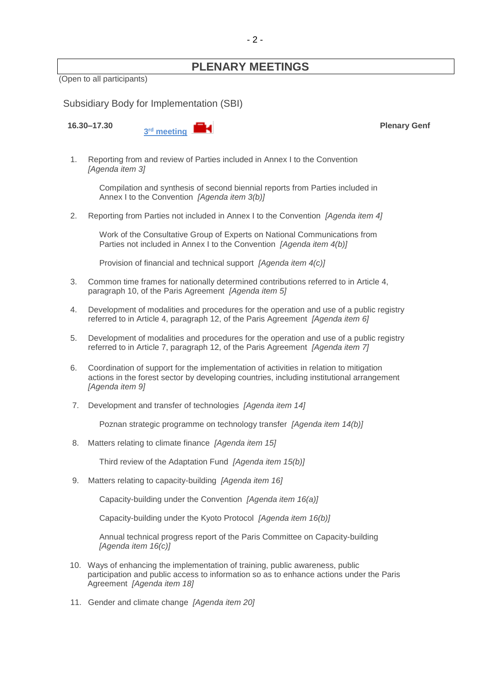# **PLENARY MEETINGS**

(Open to all participants)

<span id="page-1-0"></span>Subsidiary Body for Implementation (SBI)

**16.30–17.30**



**Plenary Genf**

1. Reporting from and review of Parties included in Annex I to the Convention *[Agenda item 3]*

Compilation and synthesis of second biennial reports from Parties included in Annex I to the Convention *[Agenda item 3(b)]*

2. Reporting from Parties not included in Annex I to the Convention *[Agenda item 4]*

Work of the Consultative Group of Experts on National Communications from Parties not included in Annex I to the Convention *[Agenda item 4(b)]*

Provision of financial and technical support *[Agenda item 4(c)]*

- 3. Common time frames for nationally determined contributions referred to in Article 4, paragraph 10, of the Paris Agreement *[Agenda item 5]*
- 4. Development of modalities and procedures for the operation and use of a public registry referred to in Article 4, paragraph 12, of the Paris Agreement *[Agenda item 6]*
- 5. Development of modalities and procedures for the operation and use of a public registry referred to in Article 7, paragraph 12, of the Paris Agreement *[Agenda item 7]*
- 6. Coordination of support for the implementation of activities in relation to mitigation actions in the forest sector by developing countries, including institutional arrangement *[Agenda item 9]*
- 7. Development and transfer of technologies *[Agenda item 14]*

Poznan strategic programme on technology transfer *[Agenda item 14(b)]*

8. Matters relating to climate finance *[Agenda item 15]*

Third review of the Adaptation Fund *[Agenda item 15(b)]*

9. Matters relating to capacity-building *[Agenda item 16]*

Capacity-building under the Convention *[Agenda item 16(a)]*

Capacity-building under the Kyoto Protocol *[Agenda item 16(b)]*

Annual technical progress report of the Paris Committee on Capacity-building *[Agenda item 16(c)]*

- 10. Ways of enhancing the implementation of training, public awareness, public participation and public access to information so as to enhance actions under the Paris Agreement *[Agenda item 18]*
- 11. Gender and climate change *[Agenda item 20]*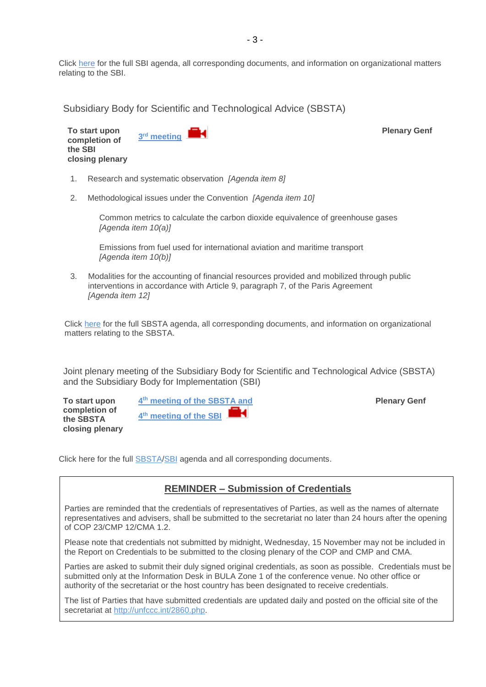Click [here](http://unfccc.int/meetings/bonn_nov_2017/session/10379/php/view/documents.php#c) for the full SBI agenda, all corresponding documents, and information on organizational matters relating to the SBI.

<span id="page-2-0"></span>Subsidiary Body for Scientific and Technological Advice (SBSTA)

**To start upon completion of the SBI closing plenary 3 rd [meeting](http://unfccc.cloud.streamworld.de/ondemand)** 

- 1. Research and systematic observation *[Agenda item 8]*
- 2. Methodological issues under the Convention *[Agenda item 10]*

Common metrics to calculate the carbon dioxide equivalence of greenhouse gases *[Agenda item 10(a)]*

Emissions from fuel used for international aviation and maritime transport *[Agenda item 10(b)]*

3. Modalities for the accounting of financial resources provided and mobilized through public interventions in accordance with Article 9, paragraph 7, of the Paris Agreement *[Agenda item 12]*

Click [here](http://unfccc.int/meetings/bonn_nov_2017/session/10380/php/view/documents.php#c) for the full SBSTA agenda, all corresponding documents, and information on organizational matters relating to the SBSTA.

<span id="page-2-1"></span>Joint plenary meeting of the Subsidiary Body for Scientific and Technological Advice (SBSTA) and the Subsidiary Body for Implementation (SBI)

**To start upon completion of the SBSTA closing plenary 4 th [meeting of the SBSTA and](http://unfccc.cloud.streamworld.de/ondemand)  4 th [meeting of the SBI](http://unfccc.cloud.streamworld.de/ondemand)**

**Plenary Genf**

**Plenary Genf**

Click [here](http://unfccc.int/meetings/lima_dec_2014/session/8531/php/view/documents.php) for the full **SBSTA[/SBI](http://unfccc.int/meetings/bonn_nov_2017/session/10379/php/view/documents.php#c)** agenda and all corresponding documents.

# **REMINDER – Submission of Credentials**

Parties are reminded that the credentials of representatives of Parties, as well as the names of alternate representatives and advisers, shall be submitted to the secretariat no later than 24 hours after the opening of COP 23/CMP 12/CMA 1.2.

Please note that credentials not submitted by midnight, Wednesday, 15 November may not be included in the Report on Credentials to be submitted to the closing plenary of the COP and CMP and CMA.

Parties are asked to submit their duly signed original credentials, as soon as possible. Credentials must be submitted only at the Information Desk in BULA Zone 1 of the conference venue. No other office or authority of the secretariat or the host country has been designated to receive credentials.

The list of Parties that have submitted credentials are updated daily and posted on the official site of the secretariat at [http://unfccc.int/2860.php.](http://unfccc.int/2860.php)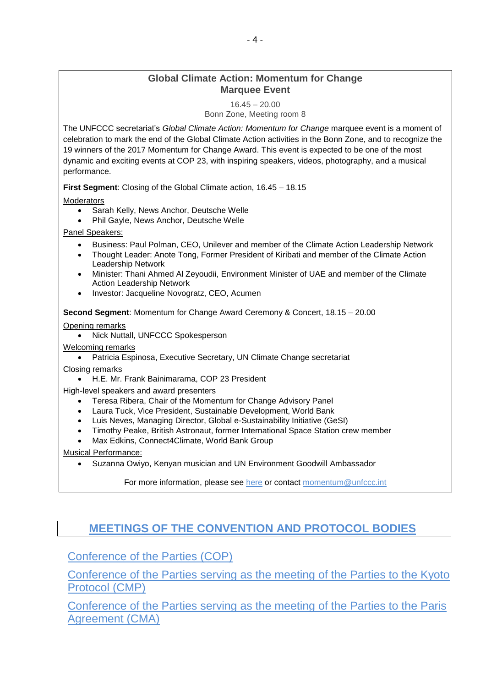# **Global Climate Action: Momentum for Change Marquee Event**

16.45 – 20.00 Bonn Zone, Meeting room 8

The UNFCCC secretariat's *Global Climate Action: Momentum for Change* marquee event is a moment of celebration to mark the end of the Global Climate Action activities in the Bonn Zone, and to recognize the 19 winners of the 2017 Momentum for Change Award. This event is expected to be one of the most dynamic and exciting events at COP 23, with inspiring speakers, videos, photography, and a musical performance.

**First Segment**: Closing of the Global Climate action, 16.45 – 18.15

**Moderators** 

- Sarah Kelly, News Anchor, Deutsche Welle
- Phil Gayle, News Anchor, Deutsche Welle

Panel Speakers:

- Business: Paul Polman, CEO, Unilever and member of the Climate Action Leadership Network
- Thought Leader: Anote Tong, Former President of Kiribati and member of the Climate Action Leadership Network
- Minister: Thani Ahmed Al Zeyoudii, Environment Minister of UAE and member of the Climate Action Leadership Network
- Investor: Jacqueline Novogratz, CEO, Acumen

**Second Segment**: Momentum for Change Award Ceremony & Concert, 18.15 – 20.00

Opening remarks

• Nick Nuttall, UNFCCC Spokesperson

Welcoming remarks

• Patricia Espinosa, Executive Secretary, UN Climate Change secretariat

Closing remarks

• H.E. Mr. Frank Bainimarama, COP 23 President

High-level speakers and award presenters

- Teresa Ribera, Chair of the Momentum for Change Advisory Panel
- Laura Tuck, Vice President, Sustainable Development, World Bank
- Luis Neves, Managing Director, Global e-Sustainability Initiative (GeSI)
- Timothy Peake, British Astronaut, former International Space Station crew member
- Max Edkins, Connect4Climate, World Bank Group

Musical Performance:

• Suzanna Owiyo, Kenyan musician and UN Environment Goodwill Ambassador

For more information, please see [here](https://cop23.unfccc.int/news/un-climate-solution-award-winners-at-cop23) or contact [momentum@unfccc.int](mailto:momentum@unfccc.int)

# **[MEETINGS OF THE CONVENTION AND PROTOCOL BODIES](https://grandreserva.unfccc.int/grandreserva/public/schedule?time=2017%2F11%2F14&conference_id=70&meeting_type=&body=3%2C4%2C5%2C6%2C7%2C8%2C9%2C10&webcast=0)**

[Conference of the Parties \(COP\)](https://grandreserva.unfccc.int/grandreserva/public/schedule?time=2017%2F11%2F14&conference_id=70&meeting_type=&body=4&webcast=0)

[Conference of the Parties serving as the meeting of the Parties to the Kyoto](https://grandreserva.unfccc.int/grandreserva/public/schedule?time=2017%2F11%2F14&conference_id=70&meeting_type=&body=3&webcast=0)  [Protocol \(CMP\)](https://grandreserva.unfccc.int/grandreserva/public/schedule?time=2017%2F11%2F14&conference_id=70&meeting_type=&body=3&webcast=0)

[Conference of the Parties serving as the meeting of the Parties to the Paris](https://grandreserva.unfccc.int/grandreserva/public/schedule?time=2017%2F11%2F14&conference_id=70&meeting_type=&body=10&webcast=0)  **[Agreement \(CMA\)](https://grandreserva.unfccc.int/grandreserva/public/schedule?time=2017%2F11%2F14&conference_id=70&meeting_type=&body=10&webcast=0)**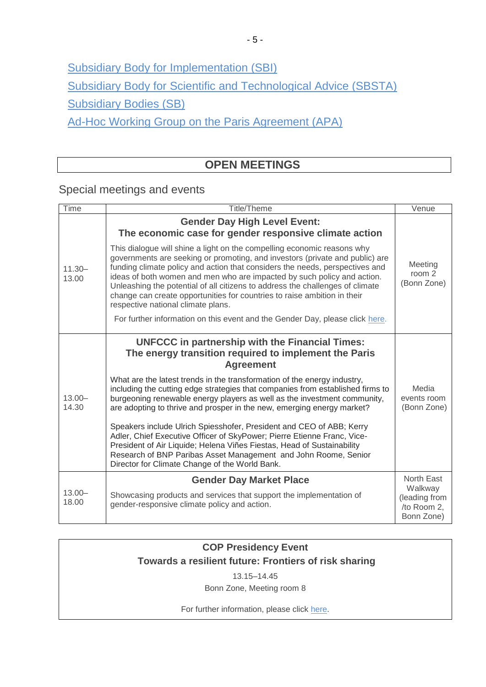[Subsidiary Body for Implementation \(SBI\)](https://grandreserva.unfccc.int/grandreserva/public/schedule?time=2017%2F11%2F14&conference_id=70&meeting_type=&body=5&webcast=0)

[Subsidiary Body for Scientific and Technological Advice \(SBSTA\)](https://grandreserva.unfccc.int/grandreserva/public/schedule?time=2017%2F11%2F14&conference_id=70&meeting_type=&body=6&webcast=0)

[Subsidiary Bodies \(SB\)](https://grandreserva.unfccc.int/grandreserva/public/schedule?time=2017%2F11%2F14&conference_id=70&meeting_type=&body=7&webcast=0)

[Ad-Hoc Working Group on the Paris Agreement \(APA\)](https://grandreserva.unfccc.int/grandreserva/public/schedule?time=2017%2F11%2F14&conference_id=70&meeting_type=&body=9&webcast=0)

# **OPEN MEETINGS**

<span id="page-4-0"></span>Special meetings and events

<span id="page-4-1"></span>

| <b>Time</b>        | <b>Title/Theme</b>                                                                                                                                                                                                                                                                                                                                                                                                                                                                                                                                                                                                                                                                                                                                                                                        | Venue                                                               |
|--------------------|-----------------------------------------------------------------------------------------------------------------------------------------------------------------------------------------------------------------------------------------------------------------------------------------------------------------------------------------------------------------------------------------------------------------------------------------------------------------------------------------------------------------------------------------------------------------------------------------------------------------------------------------------------------------------------------------------------------------------------------------------------------------------------------------------------------|---------------------------------------------------------------------|
| $11.30 -$<br>13.00 | <b>Gender Day High Level Event:</b><br>The economic case for gender responsive climate action<br>This dialogue will shine a light on the compelling economic reasons why<br>governments are seeking or promoting, and investors (private and public) are<br>funding climate policy and action that considers the needs, perspectives and<br>ideas of both women and men who are impacted by such policy and action.<br>Unleashing the potential of all citizens to address the challenges of climate<br>change can create opportunities for countries to raise ambition in their<br>respective national climate plans.<br>For further information on this event and the Gender Day, please click here.                                                                                                    | Meeting<br>room 2<br>(Bonn Zone)                                    |
|                    |                                                                                                                                                                                                                                                                                                                                                                                                                                                                                                                                                                                                                                                                                                                                                                                                           |                                                                     |
| $13.00 -$<br>14.30 | <b>UNFCCC</b> in partnership with the Financial Times:<br>The energy transition required to implement the Paris<br><b>Agreement</b><br>What are the latest trends in the transformation of the energy industry,<br>including the cutting edge strategies that companies from established firms to<br>burgeoning renewable energy players as well as the investment community,<br>are adopting to thrive and prosper in the new, emerging energy market?<br>Speakers include Ulrich Spiesshofer, President and CEO of ABB; Kerry<br>Adler, Chief Executive Officer of SkyPower; Pierre Etienne Franc, Vice-<br>President of Air Liquide; Helena Viñes Fiestas, Head of Sustainability<br>Research of BNP Paribas Asset Management and John Roome, Senior<br>Director for Climate Change of the World Bank. | Media<br>events room<br>(Bonn Zone)                                 |
| $13.00 -$<br>18.00 | <b>Gender Day Market Place</b><br>Showcasing products and services that support the implementation of<br>gender-responsive climate policy and action.                                                                                                                                                                                                                                                                                                                                                                                                                                                                                                                                                                                                                                                     | North East<br>Walkway<br>(leading from<br>/to Room 2,<br>Bonn Zone) |

# **COP Presidency Event Towards a resilient future: Frontiers of risk sharing**

13.15–14.45

Bonn Zone, Meeting room 8

For further information, please click [here.](https://cop23.unfccc.int/sites/default/files/resource/CNPresidencyEventResilience_2.pdf)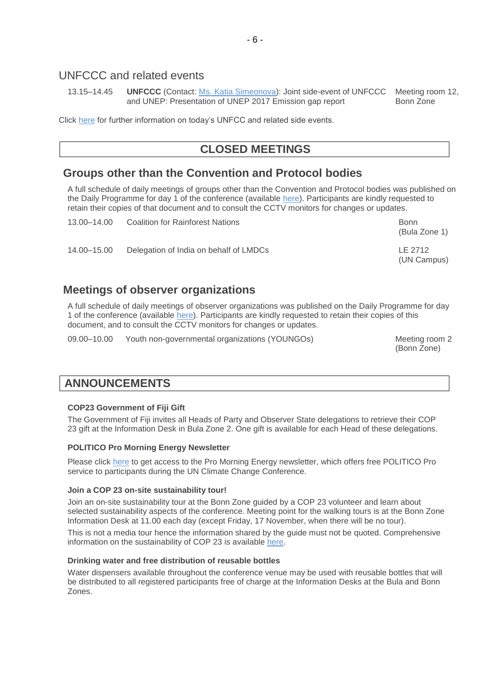# UNFCCC and related events

13.15–14.45 **UNFCCC** (Contact: [Ms. Katia Simeonova\)](mailto:ksimeonova@unfccc.int): Joint side-event of UNFCCC Meeting room 12, and UNEP: Presentation of UNEP 2017 Emission gap report Bonn Zone

Click [here](https://seors.unfccc.int/seors/reports/events_list.html?session_id=COP23) for further information on today's UNFCC and related side events.

# **CLOSED MEETINGS**

# <span id="page-5-0"></span>**Groups other than the Convention and Protocol bodies**

A full schedule of daily meetings of groups other than the Convention and Protocol bodies was published on the Daily Programme for day 1 of the conference (available [here\)](http://unfccc.int/resource/docs/2017/cop23/OD/od01.pdf). Participants are kindly requested to retain their copies of that document and to consult the CCTV monitors for changes or updates.

| 13.00–14.00 | <b>Coalition for Rainforest Nations</b> | Bonn<br>(Bula Zone 1)  |
|-------------|-----------------------------------------|------------------------|
| 14.00-15.00 | Delegation of India on behalf of LMDCs  | LE 2712<br>(UN Campus) |

# **Meetings of observer organizations**

A full schedule of daily meetings of observer organizations was published on the Daily Programme for day 1 of the conference (available [here\)](http://unfccc.int/resource/docs/2017/cop23/OD/od01.pdf). Participants are kindly requested to retain their copies of this document, and to consult the CCTV monitors for changes or updates.

09.00–10.00 Youth non-governmental organizations (YOUNGOs) Meeting room 2

(Bonn Zone)

# <span id="page-5-1"></span>**ANNOUNCEMENTS**

### **COP23 Government of Fiji Gift**

The Government of Fiji invites all Heads of Party and Observer State delegations to retrieve their COP 23 gift at the Information Desk in Bula Zone 2. One gift is available for each Head of these delegations.

### **POLITICO Pro Morning Energy Newsletter**

Please click [here](https://www.politico.eu/article/morning-ee-cop23-tuesday) to get access to the Pro Morning Energy newsletter, which offers free POLITICO Pro service to participants during the UN Climate Change Conference.

### **Join a COP 23 on-site sustainability tour!**

Join an on-site sustainability tour at the Bonn Zone guided by a COP 23 volunteer and learn about selected sustainability aspects of the conference. Meeting point for the walking tours is at the Bonn Zone Information Desk at 11.00 each day (except Friday, 17 November, when there will be no tour).

This is not a media tour hence the information shared by the guide must not be quoted. Comprehensive information on the sustainability of COP 23 is available [here.](https://cop23.unfccc.int/cop-23/sustainable-conference)

### **Drinking water and free distribution of reusable bottles**

Water dispensers available throughout the conference venue may be used with reusable bottles that will be distributed to all registered participants free of charge at the Information Desks at the Bula and Bonn Zones.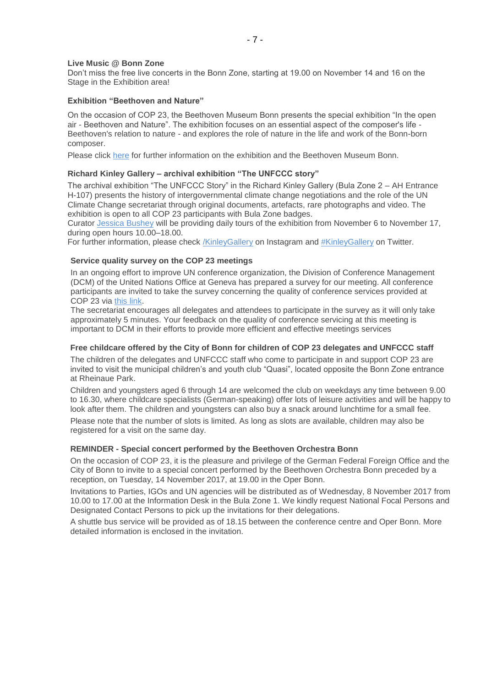#### **Live Music @ Bonn Zone**

Don't miss the free live concerts in the Bonn Zone, starting at 19.00 on November 14 and 16 on the Stage in the Exhibition area!

#### **Exhibition "Beethoven and Nature"**

On the occasion of COP 23, the Beethoven Museum Bonn presents the special exhibition "In the open air - Beethoven and Nature". The exhibition focuses on an essential aspect of the composer's life - Beethoven's relation to nature - and explores the role of nature in the life and work of the Bonn-born composer.

Please click [here](https://www.beethoven-haus-bonn.de/page/Visit#temporary_exhibitions) for further information on the exhibition and the Beethoven Museum Bonn.

#### **Richard Kinley Gallery – archival exhibition "The UNFCCC story"**

The archival exhibition "The UNFCCC Story" in the Richard Kinley Gallery (Bula Zone 2 – AH Entrance H-107) presents the history of intergovernmental climate change negotiations and the role of the UN Climate Change secretariat through original documents, artefacts, rare photographs and video. The exhibition is open to all COP 23 participants with Bula Zone badges.

Curator [Jessica Bushey](mailto:jbushey@unfccc.int) will be providing daily tours of the exhibition from November 6 to November 17, during open hours 10.00–18.00.

For further information, please check [/KinleyGallery](https://www.instagram.com/KinleyGallery/) on Instagram and [#KinleyGallery](https://twitter.com/hashtag/KinleyGallery?src=hash) on Twitter.

#### **Service quality survey on the COP 23 meetings**

In an ongoing effort to improve UN conference organization, the Division of Conference Management (DCM) of the United Nations Office at Geneva has prepared a survey for our meeting. All conference participants are invited to take the survey concerning the quality of conference services provided at COP 23 via [this link.](http://conf.unog.ch/dcmsurvey)

The secretariat encourages all delegates and attendees to participate in the survey as it will only take approximately 5 minutes. Your feedback on the quality of conference servicing at this meeting is important to DCM in their efforts to provide more efficient and effective meetings services

#### **Free childcare offered by the City of Bonn for children of COP 23 delegates and UNFCCC staff**

The children of the delegates and UNFCCC staff who come to participate in and support COP 23 are invited to visit the municipal children's and youth club "Quasi", located opposite the Bonn Zone entrance at Rheinaue Park.

Children and youngsters aged 6 through 14 are welcomed the club on weekdays any time between 9.00 to 16.30, where childcare specialists (German-speaking) offer lots of leisure activities and will be happy to look after them. The children and youngsters can also buy a snack around lunchtime for a small fee.

Please note that the number of slots is limited. As long as slots are available, children may also be registered for a visit on the same day.

#### **REMINDER - Special concert performed by the Beethoven Orchestra Bonn**

On the occasion of COP 23, it is the pleasure and privilege of the German Federal Foreign Office and the City of Bonn to invite to a special concert performed by the Beethoven Orchestra Bonn preceded by a reception, on Tuesday, 14 November 2017, at 19.00 in the Oper Bonn.

Invitations to Parties, IGOs and UN agencies will be distributed as of Wednesday, 8 November 2017 from 10.00 to 17.00 at the Information Desk in the Bula Zone 1. We kindly request National Focal Persons and Designated Contact Persons to pick up the invitations for their delegations.

A shuttle bus service will be provided as of 18.15 between the conference centre and Oper Bonn. More detailed information is enclosed in the invitation.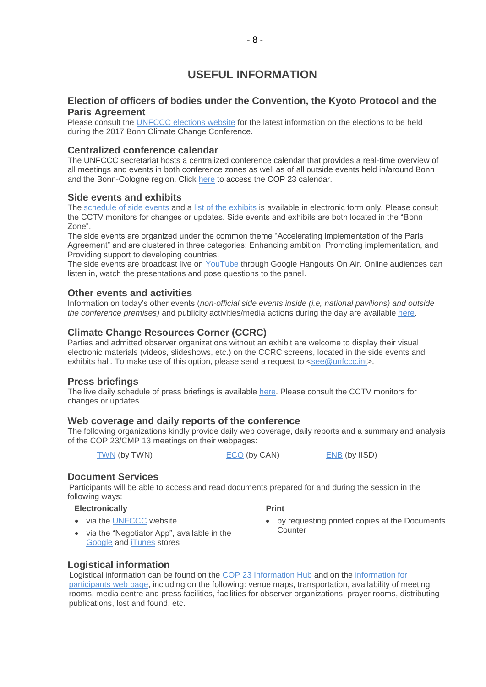# **USEFUL INFORMATION**

# **Election of officers of bodies under the Convention, the Kyoto Protocol and the Paris Agreement**

Please consult the [UNFCCC elections website](http://unfccc.int/6558.php) for the latest information on the elections to be held during the 2017 Bonn Climate Change Conference.

# **Centralized conference calendar**

The UNFCCC secretariat hosts a centralized conference calendar that provides a real-time overview of all meetings and events in both conference zones as well as of all outside events held in/around Bonn and the Bonn-Cologne region. Click [here](https://cop23.unfccc.int/calendar) to access the COP 23 calendar.

# **Side events and exhibits**

The [schedule of side events](https://seors.unfccc.int/seors/reports/events_list.html?session_id=COP23) and a [list of the exhibits](https://seors.unfccc.int/seors/reports/exhibits_list.html?session_id=COP23) is available in electronic form only. Please consult the CCTV monitors for changes or updates. Side events and exhibits are both located in the "Bonn Zone".

The side events are organized under the common theme "Accelerating implementation of the Paris Agreement" and are clustered in three categories: Enhancing ambition, Promoting implementation, and Providing support to developing countries.

The side events are broadcast live on [YouTube](https://www.youtube.com/channel/UCSbUPgmmKUTzRmspKM9DpuQ?view_as=subscriber) through Google Hangouts On Air. Online audiences can listen in, watch the presentations and pose questions to the panel.

# **Other events and activities**

Information on today's other events (*non-official side events inside (i.e, national pavilions) and outside the conference premises)* and publicity activities/media actions during the day are available [here.](https://seors.unfccc.int/seors/reports/events_list.html?session_id=CEvents)

# **Climate Change Resources Corner (CCRC)**

Parties and admitted observer organizations without an exhibit are welcome to display their visual electronic materials (videos, slideshows, etc.) on the CCRC screens, located in the side events and exhibits hall. To make use of this option, please send a request to [<see@unfccc.int>](mailto:see@unfccc.int).

# **Press briefings**

The live daily schedule of press briefings is available [here.](https://grandreserva.unfccc.int/grandreserva/public/schedule?time=2017%2F11%2F14&conference_id=70&meeting_type=145&body=&webcast=0) Please consult the CCTV monitors for changes or updates.

# **Web coverage and daily reports of the conference**

The following organizations kindly provide daily web coverage, daily reports and a summary and analysis of the COP 23/CMP 13 meetings on their webpages:

[TWN](https://twnetwork.org/meeting/bonn-climate-change-conference-nov-2017) (by TWN) [ECO](http://www.climatenetwork.org/event/cop-23) (by CAN) [ENB](http://enb.iisd.org/climate/cop23/) (by IISD)

 **Print** 

# **Document Services**

Participants will be able to access and read documents prepared for and during the session in the following ways:

### **Electronically**

• via the [UNFCCC](http://unfccc.int/meetings/bonn_nov_2017/meeting/10084/php/view/documents.php#c) website

- by requesting printed copies at the Documents **Counter**
- via the "Negotiator App", available in the [Google](https://play.google.com/store/apps/details?id=unfccc.negotiator) and [iTunes](https://itunes.apple.com/app/negotiator/id568085923?ls=1&mt=8) stores

# **Logistical information**

Logistical information can be found on the [COP 23 Information Hub](http://newsroom.unfccc.int/cop23bonninformationhub/) and on the [information for](https://cop23.unfccc.int/info-a-z)  [participants web](https://cop23.unfccc.int/info-a-z) page, including on the following: venue maps, transportation, availability of meeting rooms, media centre and press facilities, facilities for observer organizations, prayer rooms, distributing publications, lost and found, etc.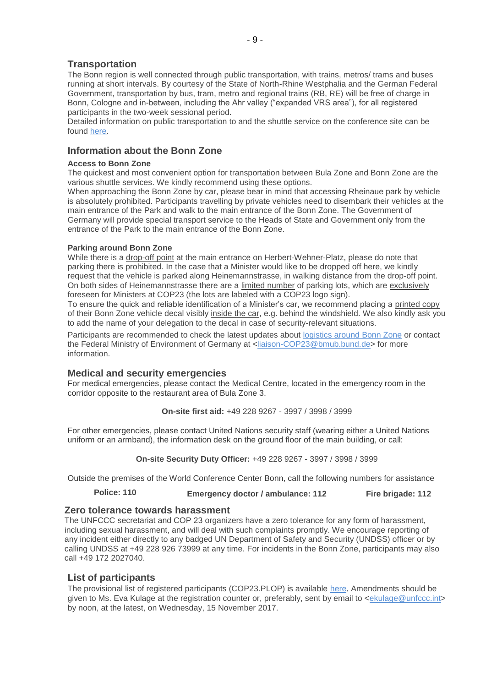# **Transportation**

The Bonn region is well connected through public transportation, with trains, metros/ trams and buses running at short intervals. By courtesy of the State of North-Rhine Westphalia and the German Federal Government, transportation by bus, tram, metro and regional trains (RB, RE) will be free of charge in Bonn, Cologne and in-between, including the Ahr valley ("expanded VRS area"), for all registered participants in the two-week sessional period.

Detailed information on public transportation to and the shuttle service on the conference site can be found [here.](https://cop23.unfccc.int/cop23/accommodation-and-transport)

### **Information about the Bonn Zone**

#### **Access to Bonn Zone**

The quickest and most convenient option for transportation between Bula Zone and Bonn Zone are the various shuttle services. We kindly recommend using these options.

When approaching the Bonn Zone by car, please bear in mind that accessing Rheinaue park by vehicle is absolutely prohibited. Participants travelling by private vehicles need to disembark their vehicles at the main entrance of the Park and walk to the main entrance of the Bonn Zone. The Government of Germany will provide special transport service to the Heads of State and Government only from the entrance of the Park to the main entrance of the Bonn Zone.

#### **Parking around Bonn Zone**

While there is a drop-off point at the main entrance on Herbert-Wehner-Platz, please do note that parking there is prohibited. In the case that a Minister would like to be dropped off here, we kindly request that the vehicle is parked along Heinemannstrasse, in walking distance from the drop-off point. On both sides of Heinemannstrasse there are a limited number of parking lots, which are exclusively foreseen for Ministers at COP23 (the lots are labeled with a COP23 logo sign).

To ensure the quick and reliable identification of a Minister's car, we recommend placing a printed copy of their Bonn Zone vehicle decal visibly inside the car, e.g. behind the windshield. We also kindly ask you to add the name of your delegation to the decal in case of security-relevant situations.

Participants are recommended to check the latest updates about [logistics around Bonn Zone](https://cop23.unfccc.int/info-a-z) or contact the Federal Ministry of Environment of Germany at [<liaison-COP23@bmub.bund.de>](mailto:liaison-COP23@bmub.bund.de) for more information.

#### **Medical and security emergencies**

For medical emergencies, please contact the Medical Centre, located in the emergency room in the corridor opposite to the restaurant area of Bula Zone 3.

**On-site first aid:** +49 228 9267 - 3997 / 3998 / 3999

For other emergencies, please contact United Nations security staff (wearing either a United Nations uniform or an armband), the information desk on the ground floor of the main building, or call:

**On-site Security Duty Officer:** +49 228 9267 - 3997 / 3998 / 3999

Outside the premises of the World Conference Center Bonn, call the following numbers for assistance

**Police: 110 Emergency doctor / ambulance: 112 Fire brigade: 112**

#### **Zero tolerance towards harassment**

The UNFCCC secretariat and COP 23 organizers have a zero tolerance for any form of harassment, including sexual harassment, and will deal with such complaints promptly. We encourage reporting of any incident either directly to any badged UN Department of Safety and Security (UNDSS) officer or by calling UNDSS at +49 228 926 73999 at any time. For incidents in the Bonn Zone, participants may also call +49 172 2027040.

### **List of participants**

The provisional list of registered participants (COP23.PLOP) is available [here](http://unfccc.int/resource/docs/2017/cop23/eng/PLOP.pdf). Amendments should be given to Ms. Eva Kulage at the registration counter or, preferably, sent by email to [<ekulage@unfccc.int>](mailto:ekulage@unfccc.int) by noon, at the latest, on Wednesday, 15 November 2017.